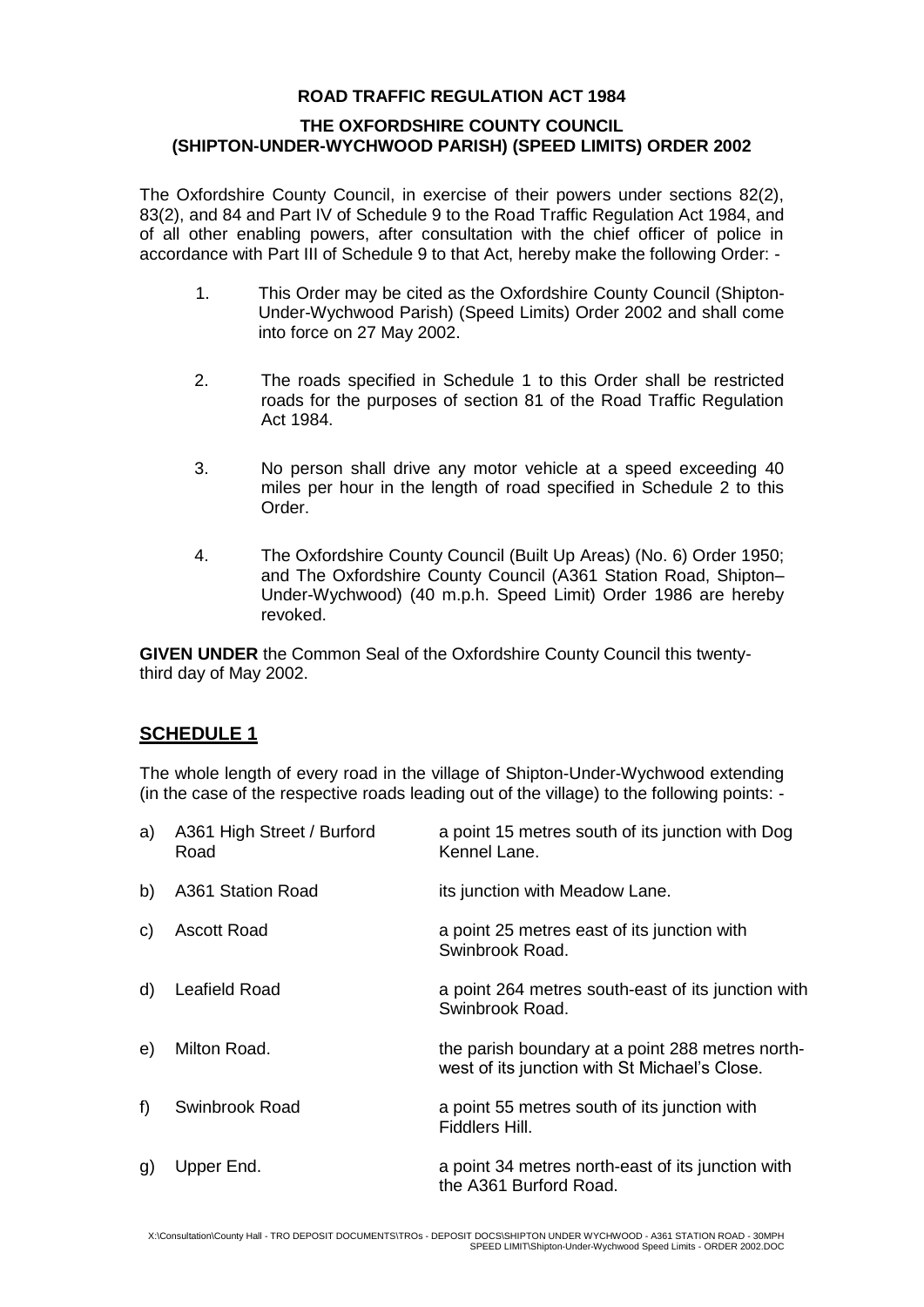### **ROAD TRAFFIC REGULATION ACT 1984**

#### **THE OXFORDSHIRE COUNTY COUNCIL (SHIPTON-UNDER-WYCHWOOD PARISH) (SPEED LIMITS) ORDER 2002**

The Oxfordshire County Council, in exercise of their powers under sections 82(2), 83(2), and 84 and Part IV of Schedule 9 to the Road Traffic Regulation Act 1984, and of all other enabling powers, after consultation with the chief officer of police in accordance with Part III of Schedule 9 to that Act, hereby make the following Order: -

- 1. This Order may be cited as the Oxfordshire County Council (Shipton-Under-Wychwood Parish) (Speed Limits) Order 2002 and shall come into force on 27 May 2002.
- 2. The roads specified in Schedule 1 to this Order shall be restricted roads for the purposes of section 81 of the Road Traffic Regulation Act 1984.
- 3. No person shall drive any motor vehicle at a speed exceeding 40 miles per hour in the length of road specified in Schedule 2 to this Order.
- 4. The Oxfordshire County Council (Built Up Areas) (No. 6) Order 1950; and The Oxfordshire County Council (A361 Station Road, Shipton– Under-Wychwood) (40 m.p.h. Speed Limit) Order 1986 are hereby revoked.

**GIVEN UNDER** the Common Seal of the Oxfordshire County Council this twentythird day of May 2002.

# **SCHEDULE 1**

The whole length of every road in the village of Shipton-Under-Wychwood extending (in the case of the respective roads leading out of the village) to the following points: -

| a)    | A361 High Street / Burford<br>Road | a point 15 metres south of its junction with Dog<br>Kennel Lane.                                  |
|-------|------------------------------------|---------------------------------------------------------------------------------------------------|
| b)    | A361 Station Road                  | its junction with Meadow Lane.                                                                    |
| C)    | <b>Ascott Road</b>                 | a point 25 metres east of its junction with<br>Swinbrook Road.                                    |
| d)    | Leafield Road                      | a point 264 metres south-east of its junction with<br>Swinbrook Road.                             |
| e)    | Milton Road.                       | the parish boundary at a point 288 metres north-<br>west of its junction with St Michael's Close. |
| $f$ ) | Swinbrook Road                     | a point 55 metres south of its junction with<br>Fiddlers Hill.                                    |
| g)    | Upper End.                         | a point 34 metres north-east of its junction with<br>the A361 Burford Road.                       |